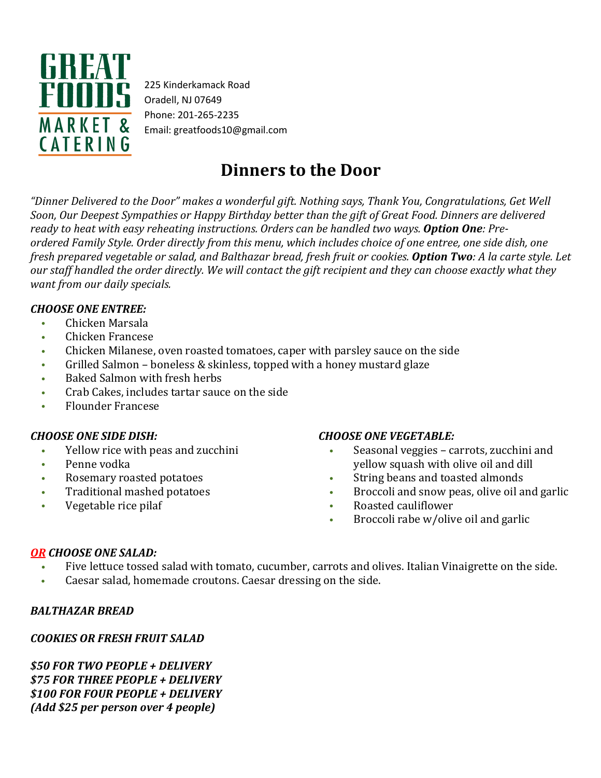

225 Kinderkamack Road Oradell, NJ 07649 Phone: 201-265-2235 Email: greatfoods10@gmail.com

# **Dinners to the Door**

*"Dinner Delivered to the Door" makes a wonderful gift. Nothing says, Thank You, Congratulations, Get Well Soon, Our Deepest Sympathies or Happy Birthday better than the gift of Great Food. Dinners are delivered ready to heat with easy reheating instructions. Orders can be handled two ways. Option One: Pre*ordered Family Style. Order directly from this menu, which includes choice of one entree, one side dish, one fresh prepared vegetable or salad, and Balthazar bread, fresh fruit or cookies. Option Two: A la carte style. Let our staff handled the order directly. We will contact the gift recipient and they can choose exactly what they *want from our daily specials.*

#### *CHOOSE ONE ENTREE:*

- Chicken Marsala
- Chicken Francese
- Chicken Milanese, oven roasted tomatoes, caper with parsley sauce on the side
- Grilled Salmon boneless & skinless, topped with a honey mustard glaze
- Baked Salmon with fresh herbs
- Crab Cakes, includes tartar sauce on the side
- Flounder Francese

#### *CHOOSE ONE SIDE DISH:*

- Yellow rice with peas and zucchini
- Penne vodka
- Rosemary roasted potatoes
- Traditional mashed potatoes
- Vegetable rice pilaf

#### *CHOOSE ONE VEGETABLE:*

- Seasonal veggies carrots, zucchini and yellow squash with olive oil and dill
- String beans and toasted almonds
- Broccoli and snow peas, olive oil and garlic
- Roasted cauliflower
- Broccoli rabe w/olive oil and garlic

### *OR CHOOSE ONE SALAD:*

- Five lettuce tossed salad with tomato, cucumber, carrots and olives. Italian Vinaigrette on the side.
- Caesar salad, homemade croutons. Caesar dressing on the side.

#### *BALTHAZAR BREAD*

#### *COOKIES OR FRESH FRUIT SALAD*

*\$50 FOR TWO PEOPLE + DELIVERY \$75 FOR THREE PEOPLE + DELIVERY \$100 FOR FOUR PEOPLE + DELIVERY (Add \$25 per person over 4 people)*